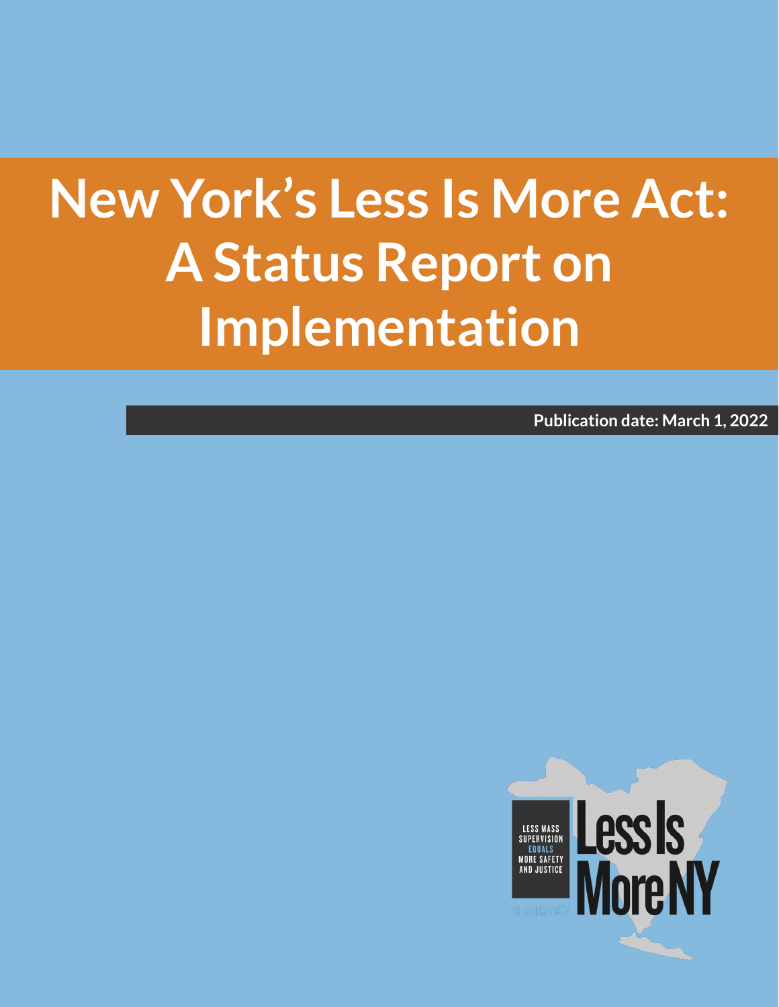# **New York's Less Is More Act: A Status Report on Implementation**

**Publication date: March 1, 2022**

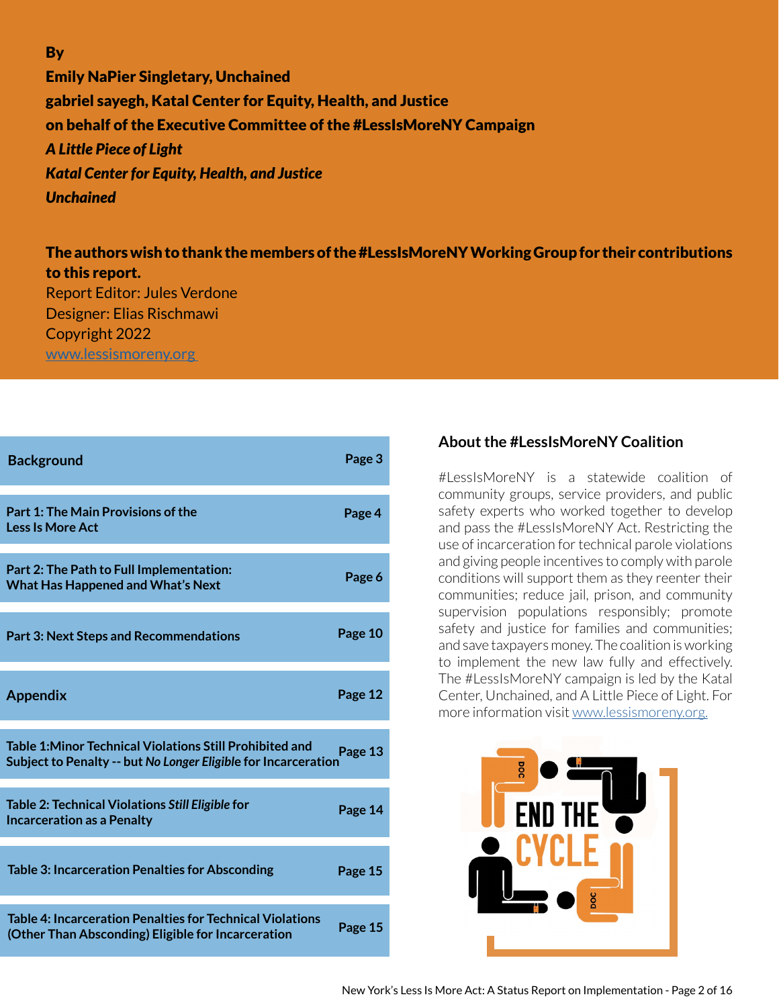**By** 

Emily NaPier Singletary, Unchained gabriel sayegh, Katal Center for Equity, Health, and Justice on behalf of the Executive Committee of the #LessIsMoreNY Campaign *A Little Piece of Light Katal Center for Equity, Health, and Justice Unchained* 

The authors wish to thank the members of the #LessIsMoreNY Working Group for their contributions to this report. Report Editor: Jules Verdone Designer: Elias Rischmawi Copyright 2022 [www.lessismoreny.org](http://www.lessismoreny.org) 

| <b>Background</b>                                                                                                                 | Page 3  |
|-----------------------------------------------------------------------------------------------------------------------------------|---------|
| Part 1: The Main Provisions of the<br><b>Less Is More Act</b>                                                                     | Page 4  |
| Part 2: The Path to Full Implementation:<br><b>What Has Happened and What's Next</b>                                              | Page 6  |
| <b>Part 3: Next Steps and Recommendations</b>                                                                                     | Page 10 |
| <b>Appendix</b>                                                                                                                   | Page 12 |
| <b>Table 1: Minor Technical Violations Still Prohibited and</b><br>Subject to Penalty -- but No Longer Eligible for Incarceration | Page 13 |
| Table 2: Technical Violations Still Eligible for<br><b>Incarceration as a Penalty</b>                                             | Page 14 |
| <b>Table 3: Incarceration Penalties for Absconding</b>                                                                            | Page 15 |
| <b>Table 4: Incarceration Penalties for Technical Violations</b><br>(Other Than Absconding) Eligible for Incarceration            | Page 15 |

#### **About the #LessIsMoreNY Coalition**

#LessIsMoreNY is a statewide coalition of community groups, service providers, and public safety experts who worked together to develop and pass the #LessIsMoreNY Act. Restricting the use of incarceration for technical parole violations and giving people incentives to comply with parole conditions will support them as they reenter their communities; reduce jail, prison, and community supervision populations responsibly; promote safety and justice for families and communities; and save taxpayers money. The coalition is working to implement the new law fully and effectively. The #LessIsMoreNY campaign is led by the Katal Center, Unchained, and A Little Piece of Light. For more information visit [www.lessismoreny.org.](http://www.lessismoreny.org.)

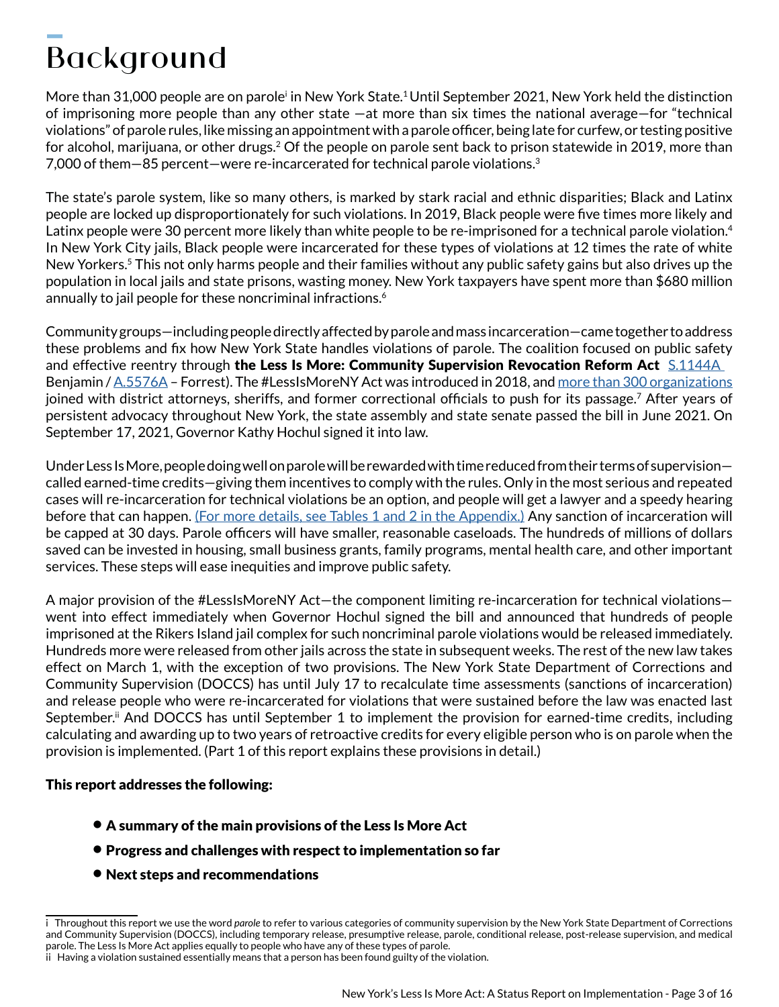# Background  $\overline{\phantom{a}}$

More than 31,000 people are on parole<sup>i</sup> in New York State.<sup>1</sup> Until September 2021, New York held the distinction of imprisoning more people than any other state —at more than six times the national average—for "technical violations" of parole rules, like missing an appointment with a parole officer, being late for curfew, or testing positive for alcohol, marijuana, or other drugs.<sup>2</sup> Of the people on parole sent back to prison statewide in 2019, more than 7,000 of them—85 percent—were re-incarcerated for technical parole violations.3

The state's parole system, like so many others, is marked by stark racial and ethnic disparities; Black and Latinx people are locked up disproportionately for such violations. In 2019, Black people were five times more likely and Latinx people were 30 percent more likely than white people to be re-imprisoned for a technical parole violation.<sup>4</sup> In New York City jails, Black people were incarcerated for these types of violations at 12 times the rate of white New Yorkers.<sup>5</sup> This not only harms people and their families without any public safety gains but also drives up the population in local jails and state prisons, wasting money. New York taxpayers have spent more than \$680 million annually to jail people for these noncriminal infractions. $^6\,$ 

Community groups—including people directly affected by parole and mass incarceration—came together to address these problems and fix how New York State handles violations of parole. The coalition focused on public safety and effective reentry through the Less Is More: Community Supervision Revocation Reform Act S.1144A Benjamin / [A.5576A](https://www.nysenate.gov/legislation/bills/2021/A5576) – Forrest). The #LessIsMoreNY Act was introduced in 2018, and [more than 300 organizations](https://lessismoreny.org/sign-on/) joined with district attorneys, sheriffs, and former correctional officials to push for its passage.<sup>7</sup> After years of persistent advocacy throughout New York, the state assembly and state senate passed the bill in June 2021. On September 17, 2021, Governor Kathy Hochul signed it into law.

Under Less Is More, people doing well on parole will be rewarded with time reduced from their terms of supervision called earned-time credits—giving them incentives to comply with the rules. Only in the most serious and repeated cases will re-incarceration for technical violations be an option, and people will get a lawyer and a speedy hearing before that can happen. [\(For more details, see Tables 1 and 2 in the Appendix.\)](#page-12-0) Any sanction of incarceration will be capped at 30 days. Parole officers will have smaller, reasonable caseloads. The hundreds of millions of dollars saved can be invested in housing, small business grants, family programs, mental health care, and other important services. These steps will ease inequities and improve public safety.

A major provision of the #LessIsMoreNY Act—the component limiting re-incarceration for technical violations went into effect immediately when Governor Hochul signed the bill and announced that hundreds of people imprisoned at the Rikers Island jail complex for such noncriminal parole violations would be released immediately. Hundreds more were released from other jails across the state in subsequent weeks. The rest of the new law takes effect on March 1, with the exception of two provisions. The New York State Department of Corrections and Community Supervision (DOCCS) has until July 17 to recalculate time assessments (sanctions of incarceration) and release people who were re-incarcerated for violations that were sustained before the law was enacted last September.<sup>ii</sup> And DOCCS has until September 1 to implement the provision for earned-time credits, including calculating and awarding up to two years of retroactive credits for every eligible person who is on parole when the provision is implemented. (Part 1 of this report explains these provisions in detail.)

#### This report addresses the following:

- A summary of the main provisions of the Less Is More Act
- Progress and challenges with respect to implementation so far
- Next steps and recommendations

i Throughout this report we use the word *parole* to refer to various categories of community supervision by the New York State Department of Corrections and Community Supervision (DOCCS), including temporary release, presumptive release, parole, conditional release, post-release supervision, and medical parole. The Less Is More Act applies equally to people who have any of these types of parole.

ii Having a violation sustained essentially means that a person has been found guilty of the violation.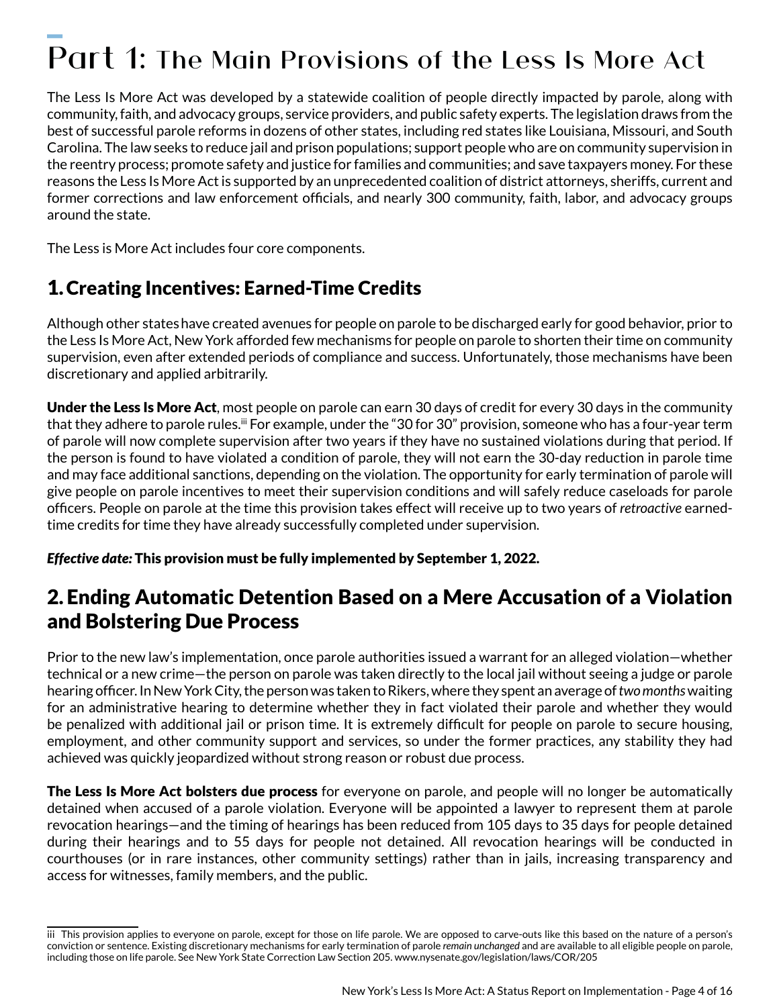# $\overline{\phantom{a}}$ Part 1: The Main Provisions of the Less Is More Act

The Less Is More Act was developed by a statewide coalition of people directly impacted by parole, along with community, faith, and advocacy groups, service providers, and public safety experts. The legislation draws from the best of successful parole reforms in dozens of other states, including red states like Louisiana, Missouri, and South Carolina. The law seeks to reduce jail and prison populations; support people who are on community supervision in the reentry process; promote safety and justice for families and communities; and save taxpayers money. For these reasons the Less Is More Act is supported by an unprecedented coalition of district attorneys, sheriffs, current and former corrections and law enforcement officials, and nearly 300 community, faith, labor, and advocacy groups around the state.

The Less is More Act includes four core components.

# 1. Creating Incentives: Earned-Time Credits

Although other stateshave created avenues for people on parole to be discharged early for good behavior, prior to the Less Is More Act, New York afforded few mechanisms for people on parole to shorten their time on community supervision, even after extended periods of compliance and success. Unfortunately, those mechanisms have been discretionary and applied arbitrarily.

**Under the Less Is More Act**, most people on parole can earn 30 days of credit for every 30 days in the community that they adhere to parole rules.<sup>iii</sup> For example, under the "30 for 30" provision, someone who has a four-year term of parole will now complete supervision after two years if they have no sustained violations during that period. If the person is found to have violated a condition of parole, they will not earn the 30-day reduction in parole time and may face additional sanctions, depending on the violation. The opportunity for early termination of parole will give people on parole incentives to meet their supervision conditions and will safely reduce caseloads for parole officers. People on parole at the time this provision takes effect will receive up to two years of *retroactive* earnedtime credits for time they have already successfully completed under supervision.

*Effective date:* This provision must be fully implemented by September 1, 2022.

# 2. Ending Automatic Detention Based on a Mere Accusation of a Violation and Bolstering Due Process

Prior to the new law's implementation, once parole authorities issued a warrant for an alleged violation—whether technical or a new crime—the person on parole was taken directly to the local jail without seeing a judge or parole hearing officer. In New York City, the person was taken to Rikers, where they spent an average of *two months* waiting for an administrative hearing to determine whether they in fact violated their parole and whether they would be penalized with additional jail or prison time. It is extremely difficult for people on parole to secure housing, employment, and other community support and services, so under the former practices, any stability they had achieved was quickly jeopardized without strong reason or robust due process.

**The Less Is More Act bolsters due process** for everyone on parole, and people will no longer be automatically detained when accused of a parole violation. Everyone will be appointed a lawyer to represent them at parole revocation hearings—and the timing of hearings has been reduced from 105 days to 35 days for people detained during their hearings and to 55 days for people not detained. All revocation hearings will be conducted in courthouses (or in rare instances, other community settings) rather than in jails, increasing transparency and access for witnesses, family members, and the public.

iii This provision applies to everyone on parole, except for those on life parole. We are opposed to carve-outs like this based on the nature of a person's conviction or sentence. Existing discretionary mechanisms for early termination of parole *remain unchanged* and are available to all eligible people on parole, including those on life parole. See New York State Correction Law Section 205. www.nysenate.gov/legislation/laws/COR/205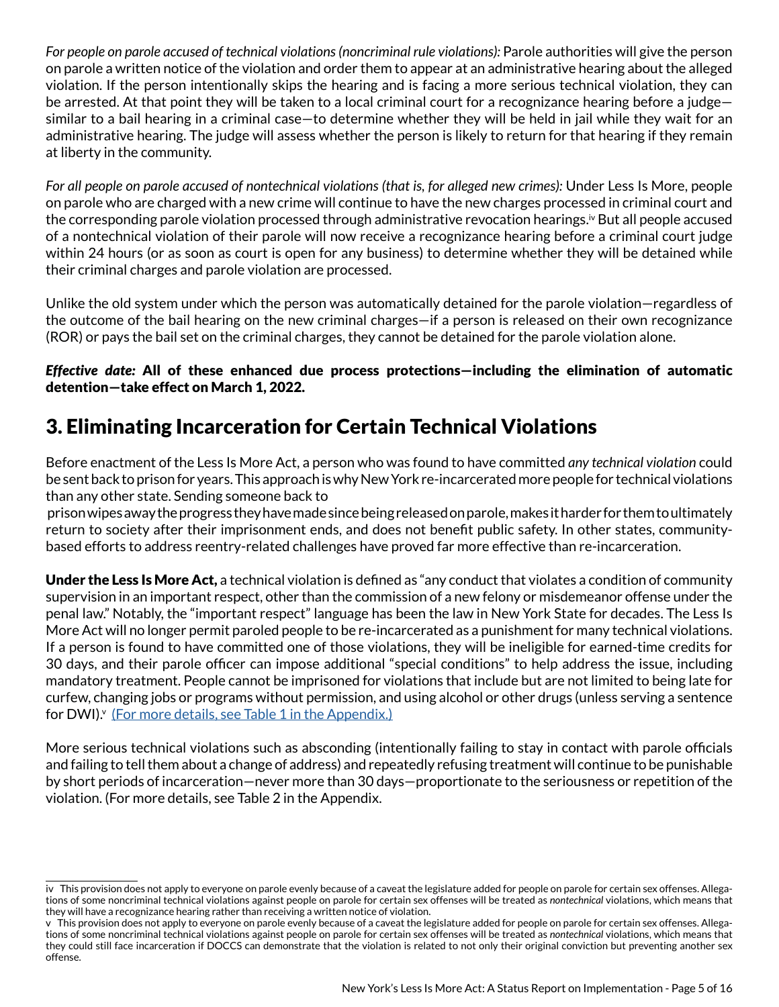*For people on parole accused of technical violations (noncriminal rule violations):* Parole authorities will give the person on parole a written notice of the violation and order them to appear at an administrative hearing about the alleged violation. If the person intentionally skips the hearing and is facing a more serious technical violation, they can be arrested. At that point they will be taken to a local criminal court for a recognizance hearing before a judge similar to a bail hearing in a criminal case—to determine whether they will be held in jail while they wait for an administrative hearing. The judge will assess whether the person is likely to return for that hearing if they remain at liberty in the community.

*For all people on parole accused of nontechnical violations (that is, for alleged new crimes):* Under Less Is More, people on parole who are charged with a new crime will continue to have the new charges processed in criminal court and the corresponding parole violation processed through administrative revocation hearings.<sup>iv</sup> But all people accused of a nontechnical violation of their parole will now receive a recognizance hearing before a criminal court judge within 24 hours (or as soon as court is open for any business) to determine whether they will be detained while their criminal charges and parole violation are processed.

Unlike the old system under which the person was automatically detained for the parole violation—regardless of the outcome of the bail hearing on the new criminal charges—if a person is released on their own recognizance (ROR) or pays the bail set on the criminal charges, they cannot be detained for the parole violation alone.

#### *Effective date:* All of these enhanced due process protections—including the elimination of automatic detention—take effect on March 1, 2022.

# 3. Eliminating Incarceration for Certain Technical Violations

Before enactment of the Less Is More Act, a person who was found to have committed *any technical violation* could be sent back to prison for years. This approach is why New York re-incarcerated more people for technical violations than any other state. Sending someone back to

 prison wipes away the progress they have made since being released on parole, makes it harder for them to ultimately return to society after their imprisonment ends, and does not benefit public safety. In other states, communitybased efforts to address reentry-related challenges have proved far more effective than re-incarceration.

Under the Less Is More Act, a technical violation is defined as "any conduct that violates a condition of community supervision in an important respect, other than the commission of a new felony or misdemeanor offense under the penal law." Notably, the "important respect" language has been the law in New York State for decades. The Less Is More Act will no longer permit paroled people to be re-incarcerated as a punishment for many technical violations. If a person is found to have committed one of those violations, they will be ineligible for earned-time credits for 30 days, and their parole officer can impose additional "special conditions" to help address the issue, including mandatory treatment. People cannot be imprisoned for violations that include but are not limited to being late for curfew, changing jobs or programs without permission, and using alcohol or other drugs (unless serving a sentence for DWI).<sup>v</sup> [\(For more details, see Table 1 in the Appendix.\)](#page-12-0)

More serious technical violations such as absconding (intentionally failing to stay in contact with parole officials and failing to tell them about a change of address) and repeatedly refusing treatment will continue to be punishable by short periods of incarceration—never more than 30 days—proportionate to the seriousness or repetition of the violation. (For more details, see Table 2 in the Appendix.

iv This provision does not apply to everyone on parole evenly because of a caveat the legislature added for people on parole for certain sex offenses. Allegations of some noncriminal technical violations against people on parole for certain sex offenses will be treated as *nontechnical* violations, which means that they will have a recognizance hearing rather than receiving a written notice of violation.

v This provision does not apply to everyone on parole evenly because of a caveat the legislature added for people on parole for certain sex offenses. Allegations of some noncriminal technical violations against people on parole for certain sex offenses will be treated as *nontechnical* violations, which means that they could still face incarceration if DOCCS can demonstrate that the violation is related to not only their original conviction but preventing another sex offense.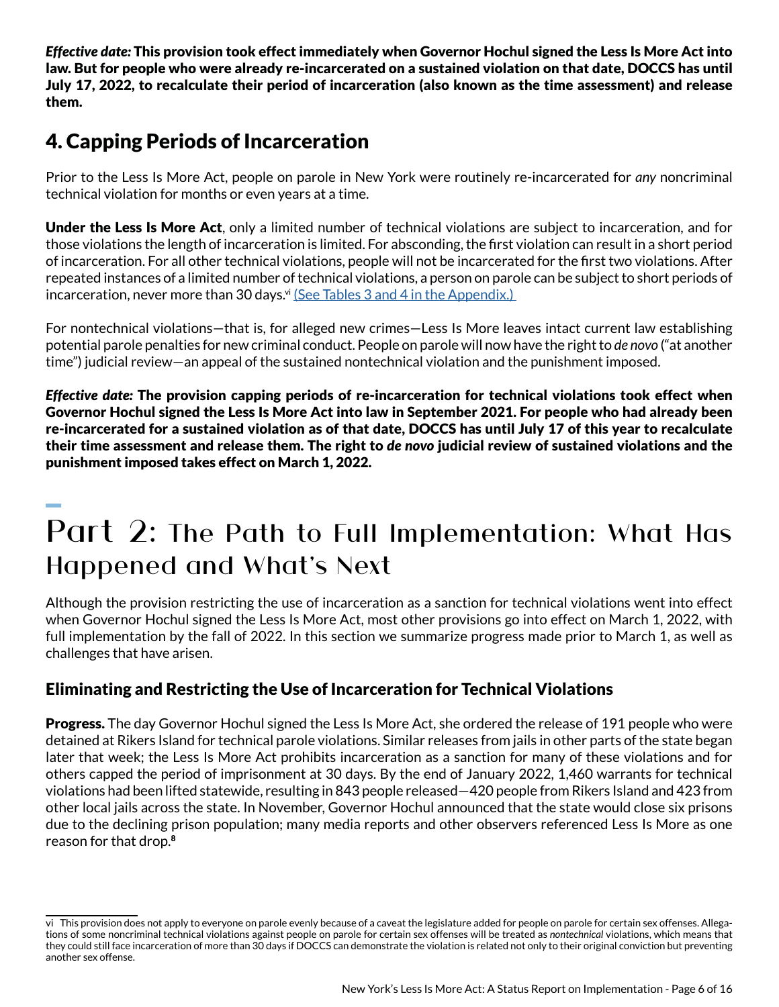*Effective date:* This provision took effect immediately when Governor Hochul signed the Less Is More Act into law. But for people who were already re-incarcerated on a sustained violation on that date, DOCCS has until July 17, 2022, to recalculate their period of incarceration (also known as the time assessment) and release them.

# 4. Capping Periods of Incarceration

Prior to the Less Is More Act, people on parole in New York were routinely re-incarcerated for *any* noncriminal technical violation for months or even years at a time.

Under the Less Is More Act, only a limited number of technical violations are subject to incarceration, and for those violations the length of incarceration is limited. For absconding, the first violation can result in a short period of incarceration. For all other technical violations, people will not be incarcerated for the first two violations. After repeated instances of a limited number of technical violations, a person on parole can be subject to short periods of incarceration, never more than 30 days.<sup>vi</sup> (See Tables 3 and 4 in the Appendix.)

For nontechnical violations—that is, for alleged new crimes—Less Is More leaves intact current law establishing potential parole penalties for new criminal conduct. People on parole will now have the right to *de novo* ("at another time") judicial review—an appeal of the sustained nontechnical violation and the punishment imposed.

*Effective date:* The provision capping periods of re-incarceration for technical violations took effect when Governor Hochul signed the Less Is More Act into law in September 2021. For people who had already been re-incarcerated for a sustained violation as of that date, DOCCS has until July 17 of this year to recalculate their time assessment and release them. The right to *de novo* judicial review of sustained violations and the punishment imposed takes effect on March 1, 2022. .<br>...

# Part 2: The Path to Full Implementation: What Has Happened and What's Next

Although the provision restricting the use of incarceration as a sanction for technical violations went into effect when Governor Hochul signed the Less Is More Act, most other provisions go into effect on March 1, 2022, with full implementation by the fall of 2022. In this section we summarize progress made prior to March 1, as well as challenges that have arisen.

### Eliminating and Restricting the Use of Incarceration for Technical Violations

**Progress.** The day Governor Hochul signed the Less Is More Act, she ordered the release of 191 people who were detained at Rikers Island for technical parole violations. Similar releases from jails in other parts of the state began later that week; the Less Is More Act prohibits incarceration as a sanction for many of these violations and for others capped the period of imprisonment at 30 days. By the end of January 2022, 1,460 warrants for technical violations had been lifted statewide, resulting in 843 people released—420 people from Rikers Island and 423 from other local jails across the state. In November, Governor Hochul announced that the state would close six prisons due to the declining prison population; many media reports and other observers referenced Less Is More as one reason for that drop.<sup>8</sup>

vi This provision does not apply to everyone on parole evenly because of a caveat the legislature added for people on parole for certain sex offenses. Allegations of some noncriminal technical violations against people on parole for certain sex offenses will be treated as *nontechnical* violations, which means that they could still face incarceration of more than 30 days if DOCCS can demonstrate the violation is related not only to their original conviction but preventing another sex offense.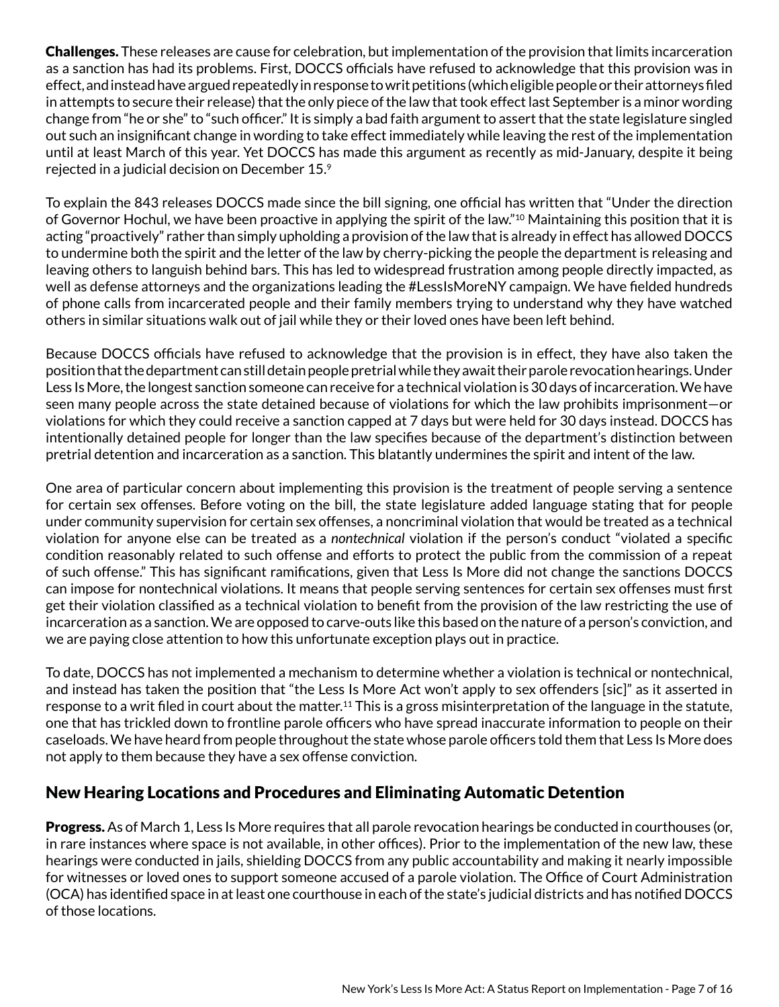Challenges. These releases are cause for celebration, but implementation of the provision that limits incarceration as a sanction has had its problems. First, DOCCS officials have refused to acknowledge that this provision was in effect, and instead have argued repeatedly in response to writ petitions (which eligible people or their attorneys filed in attempts to secure their release) that the only piece of the law that took effect last September is a minor wording change from "he or she" to "such officer." It is simply a bad faith argument to assert that the state legislature singled out such an insignificant change in wording to take effect immediately while leaving the rest of the implementation until at least March of this year. Yet DOCCS has made this argument as recently as mid-January, despite it being rejected in a judicial decision on December 15.9

To explain the 843 releases DOCCS made since the bill signing, one official has written that "Under the direction of Governor Hochul, we have been proactive in applying the spirit of the law."10 Maintaining this position that it is acting "proactively" rather than simply upholding a provision of the law that is already in effect has allowed DOCCS to undermine both the spirit and the letter of the law by cherry-picking the people the department is releasing and leaving others to languish behind bars. This has led to widespread frustration among people directly impacted, as well as defense attorneys and the organizations leading the #LessIsMoreNY campaign. We have fielded hundreds of phone calls from incarcerated people and their family members trying to understand why they have watched others in similar situations walk out of jail while they or their loved ones have been left behind.

Because DOCCS officials have refused to acknowledge that the provision is in effect, they have also taken the position that the department can still detain people pretrial while they await their parole revocation hearings. Under Less Is More, the longest sanction someone can receive for a technical violation is 30 days of incarceration. We have seen many people across the state detained because of violations for which the law prohibits imprisonment—or violations for which they could receive a sanction capped at 7 days but were held for 30 days instead. DOCCS has intentionally detained people for longer than the law specifies because of the department's distinction between pretrial detention and incarceration as a sanction. This blatantly undermines the spirit and intent of the law.

One area of particular concern about implementing this provision is the treatment of people serving a sentence for certain sex offenses. Before voting on the bill, the state legislature added language stating that for people under community supervision for certain sex offenses, a noncriminal violation that would be treated as a technical violation for anyone else can be treated as a *nontechnical* violation if the person's conduct "violated a specific condition reasonably related to such offense and efforts to protect the public from the commission of a repeat of such offense." This has significant ramifications, given that Less Is More did not change the sanctions DOCCS can impose for nontechnical violations. It means that people serving sentences for certain sex offenses must first get their violation classified as a technical violation to benefit from the provision of the law restricting the use of incarceration as a sanction. We are opposed to carve-outs like this based on the nature of a person's conviction, and we are paying close attention to how this unfortunate exception plays out in practice.

To date, DOCCS has not implemented a mechanism to determine whether a violation is technical or nontechnical, and instead has taken the position that "the Less Is More Act won't apply to sex offenders [sic]" as it asserted in response to a writ filed in court about the matter.<sup>11</sup> This is a gross misinterpretation of the language in the statute, one that has trickled down to frontline parole officers who have spread inaccurate information to people on their caseloads. We have heard from people throughout the state whose parole officers told them that Less Is More does not apply to them because they have a sex offense conviction.

### New Hearing Locations and Procedures and Eliminating Automatic Detention

Progress. As of March 1, Less Is More requires that all parole revocation hearings be conducted in courthouses (or, in rare instances where space is not available, in other offices). Prior to the implementation of the new law, these hearings were conducted in jails, shielding DOCCS from any public accountability and making it nearly impossible for witnesses or loved ones to support someone accused of a parole violation. The Office of Court Administration (OCA) has identified space in at least one courthouse in each of the state's judicial districts and has notified DOCCS of those locations.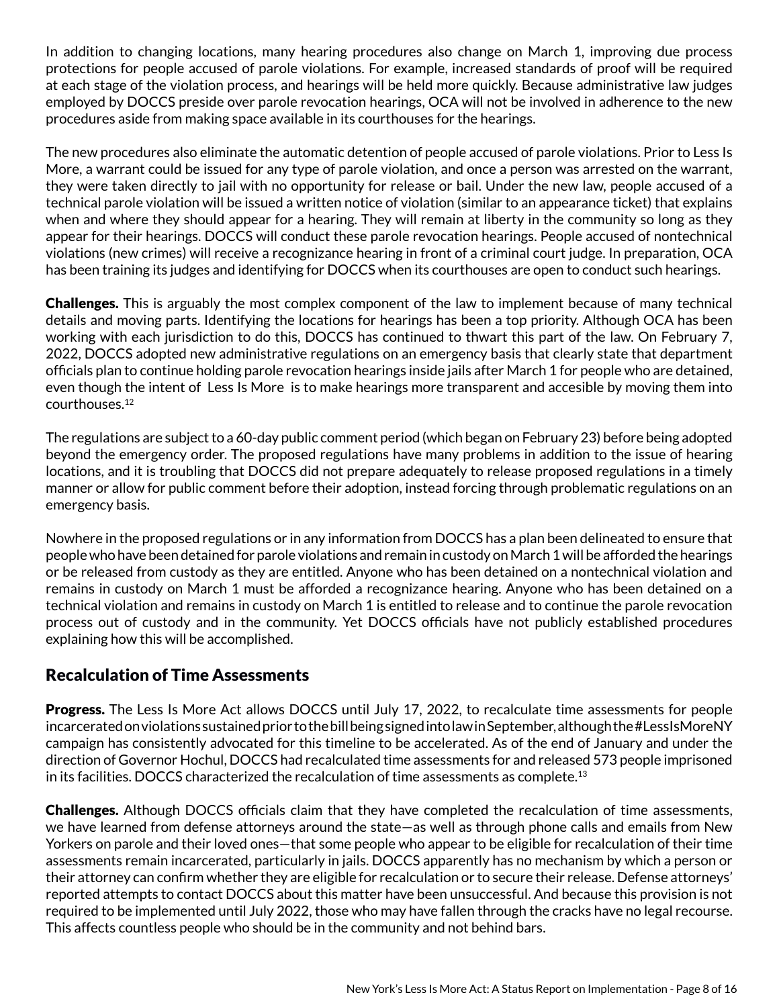In addition to changing locations, many hearing procedures also change on March 1, improving due process protections for people accused of parole violations. For example, increased standards of proof will be required at each stage of the violation process, and hearings will be held more quickly. Because administrative law judges employed by DOCCS preside over parole revocation hearings, OCA will not be involved in adherence to the new procedures aside from making space available in its courthouses for the hearings.

The new procedures also eliminate the automatic detention of people accused of parole violations. Prior to Less Is More, a warrant could be issued for any type of parole violation, and once a person was arrested on the warrant, they were taken directly to jail with no opportunity for release or bail. Under the new law, people accused of a technical parole violation will be issued a written notice of violation (similar to an appearance ticket) that explains when and where they should appear for a hearing. They will remain at liberty in the community so long as they appear for their hearings. DOCCS will conduct these parole revocation hearings. People accused of nontechnical violations (new crimes) will receive a recognizance hearing in front of a criminal court judge. In preparation, OCA has been training its judges and identifying for DOCCS when its courthouses are open to conduct such hearings.

**Challenges.** This is arguably the most complex component of the law to implement because of many technical details and moving parts. Identifying the locations for hearings has been a top priority. Although OCA has been working with each jurisdiction to do this, DOCCS has continued to thwart this part of the law. On February 7, 2022, DOCCS adopted new administrative regulations on an emergency basis that clearly state that department officials plan to continue holding parole revocation hearings inside jails after March 1 for people who are detained, even though the intent of Less Is More is to make hearings more transparent and accesible by moving them into courthouses.12

The regulations are subject to a 60-day public comment period (which began on February 23) before being adopted beyond the emergency order. The proposed regulations have many problems in addition to the issue of hearing locations, and it is troubling that DOCCS did not prepare adequately to release proposed regulations in a timely manner or allow for public comment before their adoption, instead forcing through problematic regulations on an emergency basis.

Nowhere in the proposed regulations or in any information from DOCCS has a plan been delineated to ensure that people who have been detained for parole violations and remain in custody on March 1 will be afforded the hearings or be released from custody as they are entitled. Anyone who has been detained on a nontechnical violation and remains in custody on March 1 must be afforded a recognizance hearing. Anyone who has been detained on a technical violation and remains in custody on March 1 is entitled to release and to continue the parole revocation process out of custody and in the community. Yet DOCCS officials have not publicly established procedures explaining how this will be accomplished.

#### Recalculation of Time Assessments

**Progress.** The Less Is More Act allows DOCCS until July 17, 2022, to recalculate time assessments for people incarcerated on violations sustained prior to the bill being signed into law in September, although the #LessIsMoreNY campaign has consistently advocated for this timeline to be accelerated. As of the end of January and under the direction of Governor Hochul, DOCCS had recalculated time assessments for and released 573 people imprisoned in its facilities. DOCCS characterized the recalculation of time assessments as complete.<sup>13</sup>

Challenges. Although DOCCS officials claim that they have completed the recalculation of time assessments, we have learned from defense attorneys around the state—as well as through phone calls and emails from New Yorkers on parole and their loved ones—that some people who appear to be eligible for recalculation of their time assessments remain incarcerated, particularly in jails. DOCCS apparently has no mechanism by which a person or their attorney can confirm whether they are eligible for recalculation or to secure their release. Defense attorneys' reported attempts to contact DOCCS about this matter have been unsuccessful. And because this provision is not required to be implemented until July 2022, those who may have fallen through the cracks have no legal recourse. This affects countless people who should be in the community and not behind bars.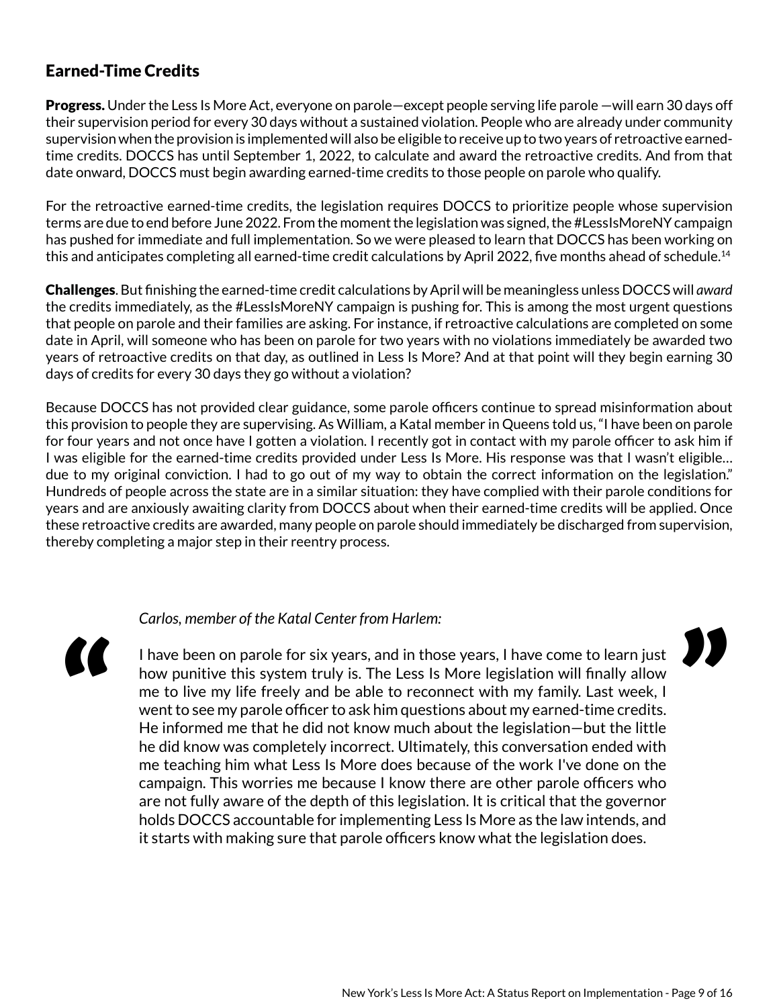#### Earned-Time Credits

Progress. Under the Less Is More Act, everyone on parole—except people serving life parole —will earn 30 days off their supervision period for every 30 days without a sustained violation. People who are already under community supervision when the provision is implemented will also be eligible to receive up to two years of retroactive earnedtime credits. DOCCS has until September 1, 2022, to calculate and award the retroactive credits. And from that date onward, DOCCS must begin awarding earned-time credits to those people on parole who qualify.

 $\overline{1}$ For the retroactive earned-time credits, the legislation requires DOCCS to prioritize people whose supervision terms are due to end before June 2022. From the moment the legislation was signed, the #LessIsMoreNY campaign has pushed for immediate and full implementation. So we were pleased to learn that DOCCS has been working on this and anticipates completing all earned-time credit calculations by April 2022, five months ahead of schedule.<sup>14</sup>

Challenges. But finishing the earned-time credit calculations by April will be meaningless unless DOCCS will *award*  the credits immediately, as the #LessIsMoreNY campaign is pushing for. This is among the most urgent questions that people on parole and their families are asking. For instance, if retroactive calculations are completed on some date in April, will someone who has been on parole for two years with no violations immediately be awarded two years of retroactive credits on that day, as outlined in Less Is More? And at that point will they begin earning 30 days of credits for every 30 days they go without a violation?

Because DOCCS has not provided clear guidance, some parole officers continue to spread misinformation about this provision to people they are supervising. As William, a Katal member in Queens told us, "I have been on parole for four years and not once have I gotten a violation. I recently got in contact with my parole officer to ask him if I was eligible for the earned-time credits provided under Less Is More. His response was that I wasn't eligible… due to my original conviction. I had to go out of my way to obtain the correct information on the legislation." Hundreds of people across the state are in a similar situation: they have complied with their parole conditions for years and are anxiously awaiting clarity from DOCCS about when their earned-time credits will be applied. Once these retroactive credits are awarded, many people on parole should immediately be discharged from supervision, thereby completing a major step in their reentry process.

#### *Carlos, member of the Katal Center from Harlem:*

"<br>"

I have been on parole for six years, and in those years, I have come to learn just how punitive this system truly is. The Less Is More legislation will finally allow me to live my life freely and be able to reconnect with my family. Last week, I went to see my parole officer to ask him questions about my earned-time credits. He informed me that he did not know much about the legislation—but the little he did know was completely incorrect. Ultimately, this conversation ended with me teaching him what Less Is More does because of the work I've done on the campaign. This worries me because I know there are other parole officers who are not fully aware of the depth of this legislation. It is critical that the governor holds DOCCS accountable for implementing Less Is More as the law intends, and it starts with making sure that parole officers know what the legislation does.

"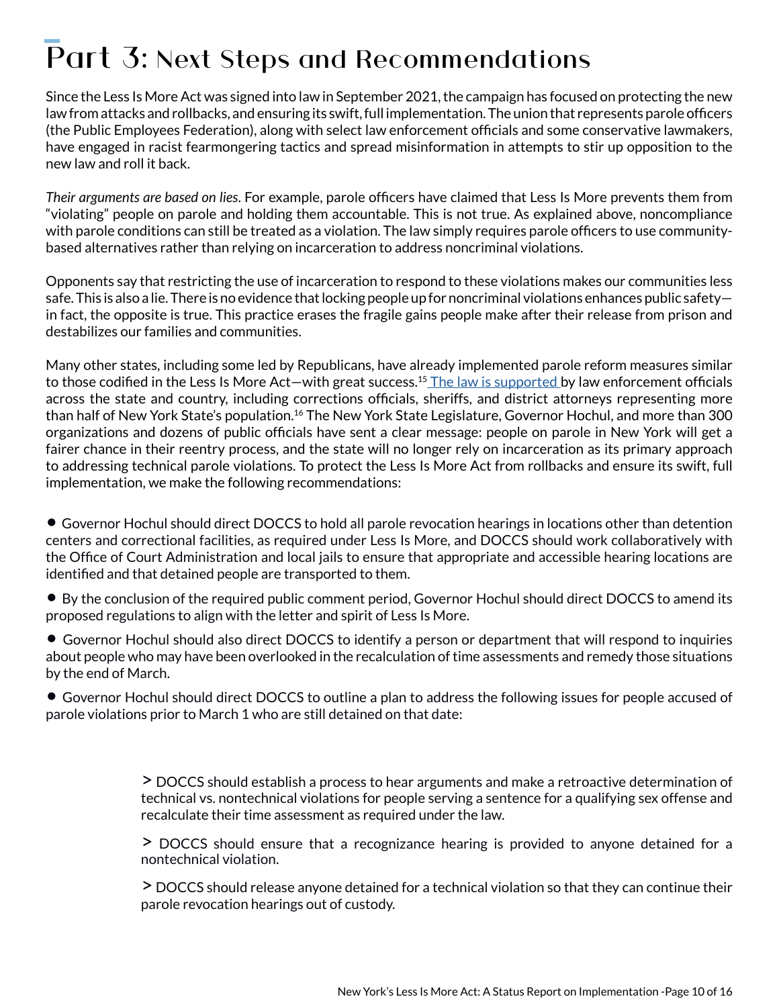# $\overline{\phantom{a}}$ Part 3: Next Steps and Recommendations

Since the Less Is More Act was signed into law in September 2021, the campaign has focused on protecting the new law from attacks and rollbacks, and ensuring its swift, full implementation. The union that represents parole officers (the Public Employees Federation), along with select law enforcement officials and some conservative lawmakers, have engaged in racist fearmongering tactics and spread misinformation in attempts to stir up opposition to the new law and roll it back.

*Their arguments are based on lies*. For example, parole officers have claimed that Less Is More prevents them from "violating" people on parole and holding them accountable. This is not true. As explained above, noncompliance with parole conditions can still be treated as a violation. The law simply requires parole officers to use communitybased alternatives rather than relying on incarceration to address noncriminal violations.

Opponents say that restricting the use of incarceration to respond to these violations makes our communities less safe. This is also a lie. There is no evidence that locking people up for noncriminal violations enhances public safety in fact, the opposite is true. This practice erases the fragile gains people make after their release from prison and destabilizes our families and communities.

Many other states, including some led by Republicans, have already implemented parole reform measures similar to those codified in the Less Is More Act—with great success.<sup>15</sup> [The law is supported](https://d3n8a8pro7vhmx.cloudfront.net/katal/pages/2076/attachments/original/1640115419/Supporting_Letter__Less_is_More__12.8.21.pdf?1640115419) by law enforcement officials across the state and country, including corrections officials, sheriffs, and district attorneys representing more than half of New York State's population.16 The New York State Legislature, Governor Hochul, and more than 300 organizations and dozens of public officials have sent a clear message: people on parole in New York will get a fairer chance in their reentry process, and the state will no longer rely on incarceration as its primary approach to addressing technical parole violations. To protect the Less Is More Act from rollbacks and ensure its swift, full implementation, we make the following recommendations:

• Governor Hochul should direct DOCCS to hold all parole revocation hearings in locations other than detention centers and correctional facilities, as required under Less Is More, and DOCCS should work collaboratively with the Office of Court Administration and local jails to ensure that appropriate and accessible hearing locations are identified and that detained people are transported to them.

- By the conclusion of the required public comment period, Governor Hochul should direct DOCCS to amend its proposed regulations to align with the letter and spirit of Less Is More.
- Governor Hochul should also direct DOCCS to identify a person or department that will respond to inquiries about people who may have been overlooked in the recalculation of time assessments and remedy those situations by the end of March.

• Governor Hochul should direct DOCCS to outline a plan to address the following issues for people accused of parole violations prior to March 1 who are still detained on that date:

> > DOCCS should establish a process to hear arguments and make a retroactive determination of technical vs. nontechnical violations for people serving a sentence for a qualifying sex offense and recalculate their time assessment as required under the law.

> > DOCCS should ensure that a recognizance hearing is provided to anyone detained for a nontechnical violation.

> > DOCCS should release anyone detained for a technical violation so that they can continue their parole revocation hearings out of custody.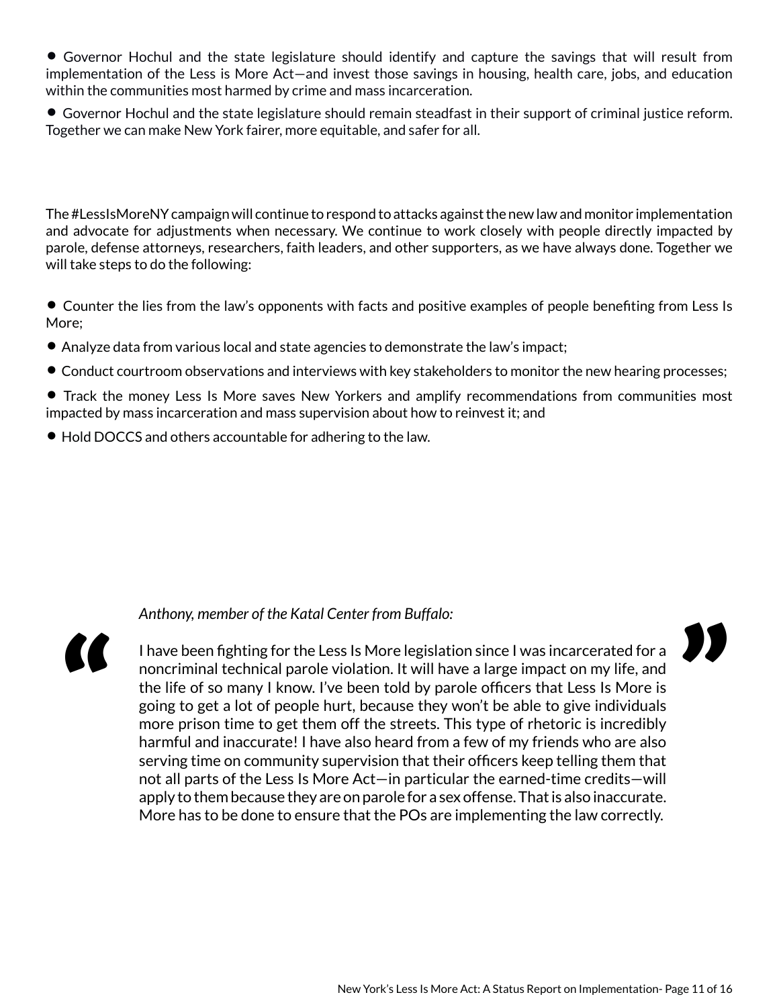• Governor Hochul and the state legislature should identify and capture the savings that will result from implementation of the Less is More Act—and invest those savings in housing, health care, jobs, and education within the communities most harmed by crime and mass incarceration.

• Governor Hochul and the state legislature should remain steadfast in their support of criminal justice reform. Together we can make New York fairer, more equitable, and safer for all.

The #LessIsMoreNY campaign will continue to respond to attacks against the new law and monitor implementation and advocate for adjustments when necessary. We continue to work closely with people directly impacted by parole, defense attorneys, researchers, faith leaders, and other supporters, as we have always done. Together we will take steps to do the following:

• Counter the lies from the law's opponents with facts and positive examples of people benefiting from Less Is More;

- Analyze data from various local and state agencies to demonstrate the law's impact;
- Conduct courtroom observations and interviews with key stakeholders to monitor the new hearing processes;

• Track the money Less Is More saves New Yorkers and amplify recommendations from communities most impacted by mass incarceration and mass supervision about how to reinvest it; and

• Hold DOCCS and others accountable for adhering to the law.

#### *Anthony, member of the Katal Center from Buffalo:*



I have been fighting for the Less Is More legislation since I was incarcerated for a noncriminal technical parole violation. It will have a large impact on my life, and the life of so many I know. I've been told by parole officers that Less Is More is going to get a lot of people hurt, because they won't be able to give individuals more prison time to get them off the streets. This type of rhetoric is incredibly harmful and inaccurate! I have also heard from a few of my friends who are also serving time on community supervision that their officers keep telling them that not all parts of the Less Is More Act—in particular the earned-time credits—will apply to them because they are on parole for a sex offense. That is also inaccurate. More has to be done to ensure that the POs are implementing the law correctly.

"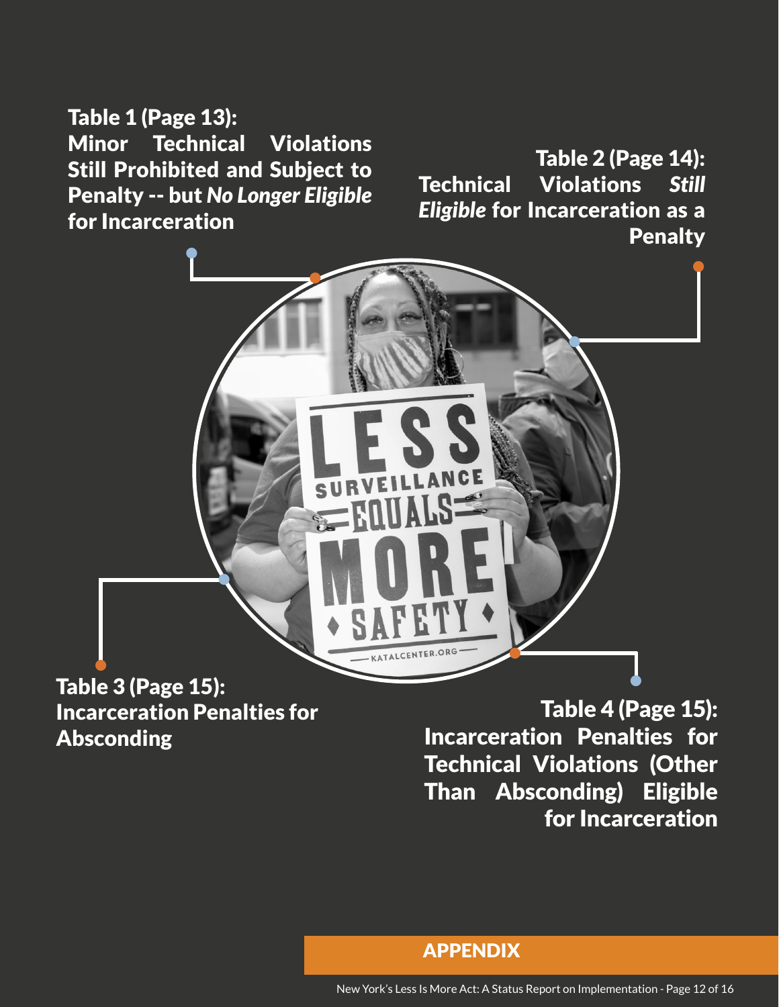Table 1 (Page 13): Minor Technical Violations Still Prohibited and Subject to Penalty -- but *No Longer Eligible* for Incarceration

Table 2 (Page 14): Technical Violations *Still Eligible* for Incarceration as a **Penalty** 



# Table 3 (Page 15): Incarceration Penalties for Absconding  $\frac{1}{2}$

Table 4 (Page 15): Incarceration Penalties for Technical Violations (Other Than Absconding) Eligible for Incarceration

APPENDIX

New York's Less Is More Act: A Status Report on Implementation - Page 12 of 16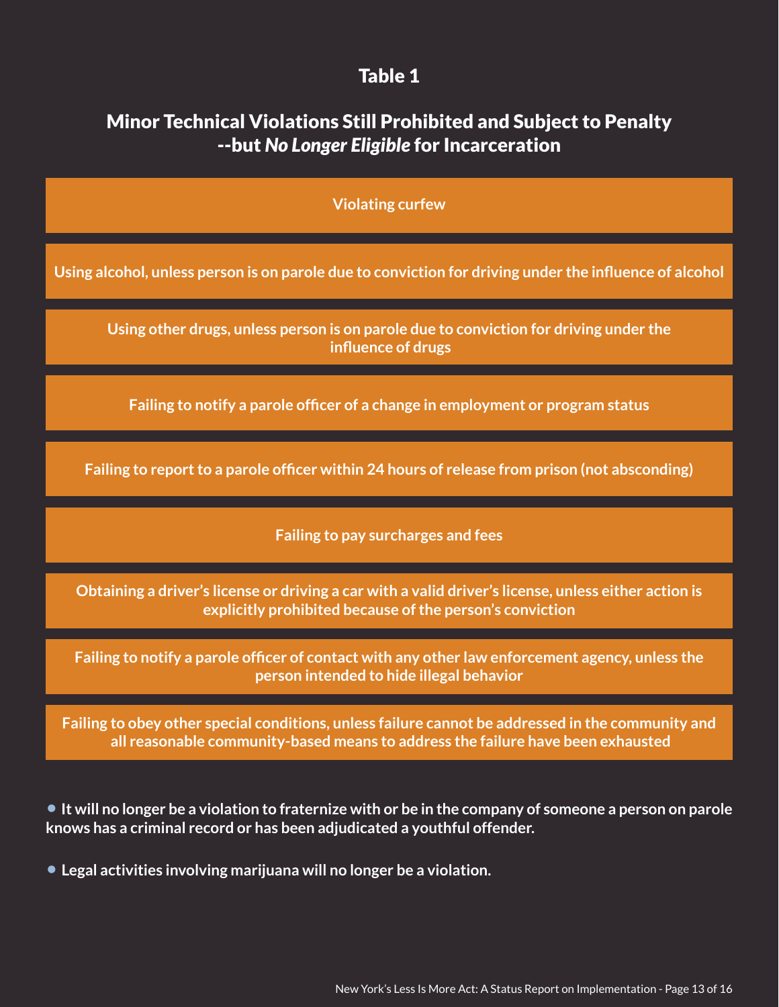### Table 1

# <span id="page-12-0"></span>Minor Technical Violations Still Prohibited and Subject to Penalty --but *No Longer Eligible* for Incarceration

**Violating curfew**

**Using alcohol, unless person is on parole due to conviction for driving under the influence of alcohol**

**Using other drugs, unless person is on parole due to conviction for driving under the influence of drugs**

**Failing to notify a parole officer of a change in employment or program status**

**Failing to report to a parole officer within 24 hours of release from prison (not absconding)**

**Failing to pay surcharges and fees**

**Obtaining a driver's license or driving a car with a valid driver's license, unless either action is explicitly prohibited because of the person's conviction**

**Failing to notify a parole officer of contact with any other law enforcement agency, unless the person intended to hide illegal behavior**

**Failing to obey other special conditions, unless failure cannot be addressed in the community and all reasonable community-based means to address the failure have been exhausted**

• **It will no longer be a violation to fraternize with or be in the company of someone a person on parole knows has a criminal record or has been adjudicated a youthful offender.**

• **Legal activities involving marijuana will no longer be a violation.**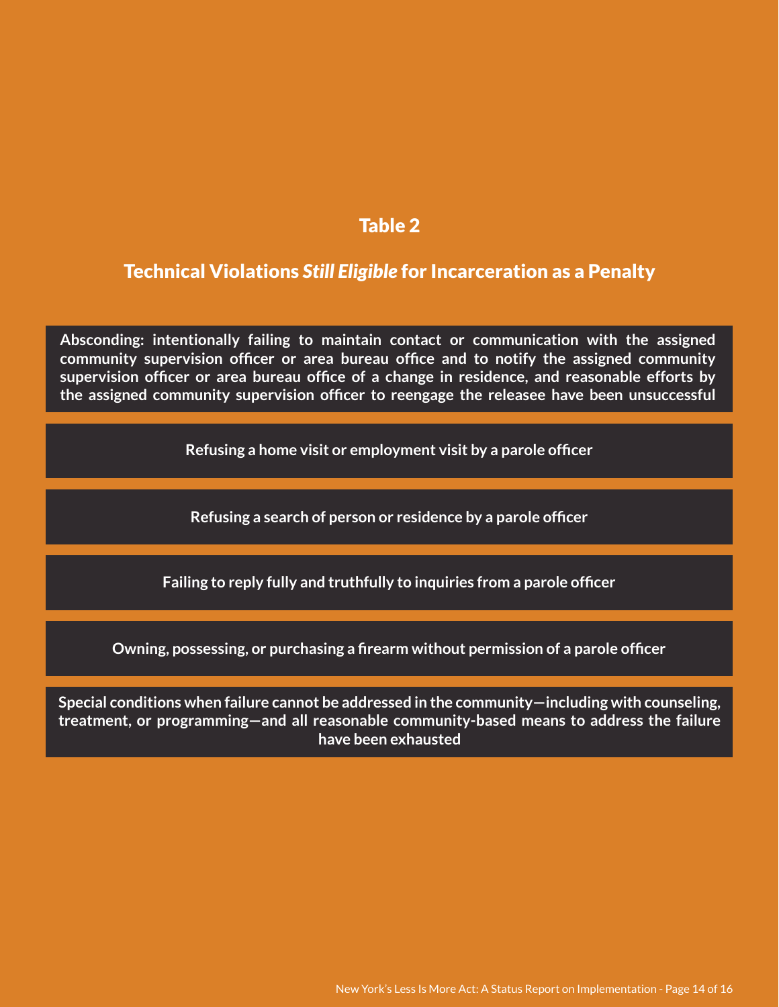### Table 2

## Technical Violations *Still Eligible* for Incarceration as a Penalty

**Absconding: intentionally failing to maintain contact or communication with the assigned community supervision officer or area bureau office and to notify the assigned community supervision officer or area bureau office of a change in residence, and reasonable efforts by the assigned community supervision officer to reengage the releasee have been unsuccessful**

**Refusing a home visit or employment visit by a parole officer**

**Refusing a search of person or residence by a parole officer**

**Failing to reply fully and truthfully to inquiries from a parole officer**

**Owning, possessing, or purchasing a firearm without permission of a parole officer**

**Special conditions when failure cannot be addressed in the community—including with counseling, treatment, or programming—and all reasonable community-based means to address the failure have been exhausted**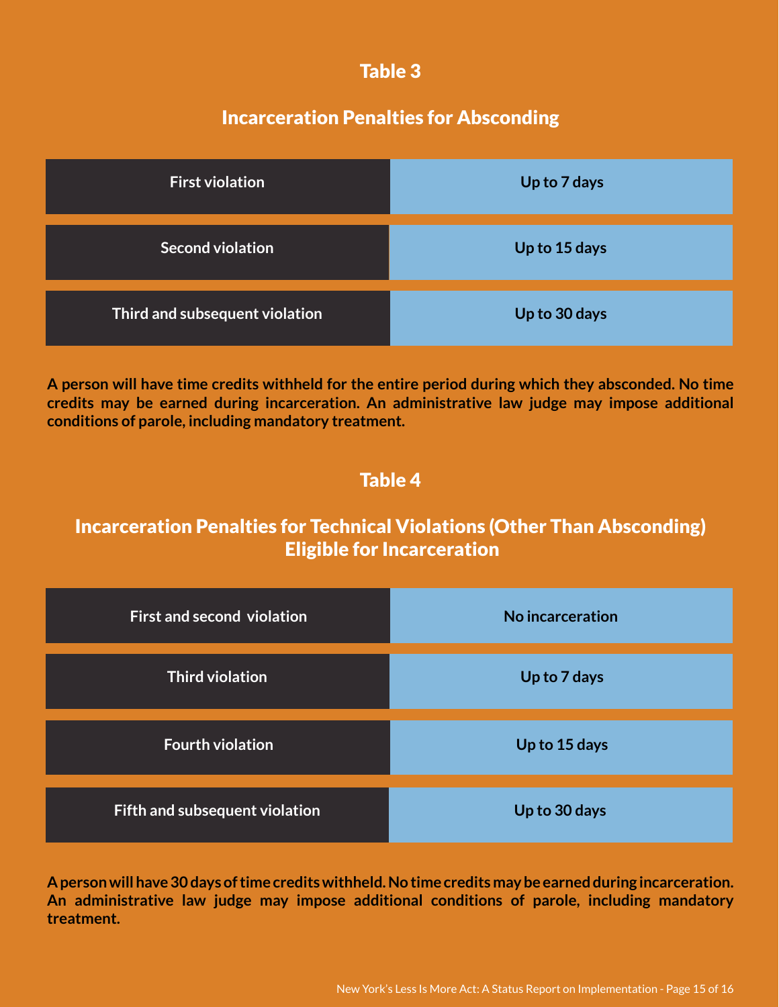## Table 3

# Incarceration Penalties for Absconding

<span id="page-14-0"></span>

| <b>First violation</b>         | Up to 7 days  |
|--------------------------------|---------------|
| Second violation               | Up to 15 days |
| Third and subsequent violation | Up to 30 days |

**A person will have time credits withheld for the entire period during which they absconded. No time credits may be earned during incarceration. An administrative law judge may impose additional conditions of parole, including mandatory treatment.** 

# Table 4

# Incarceration Penalties for Technical Violations (Other Than Absconding) Eligible for Incarceration

| <b>First and second violation</b> | No incarceration |
|-----------------------------------|------------------|
| <b>Third violation</b>            | Up to 7 days     |
| <b>Fourth violation</b>           | Up to 15 days    |
| Fifth and subsequent violation    | Up to 30 days    |

**A person will have 30 days of time credits withheld. No time credits may be earned during incarceration. An administrative law judge may impose additional conditions of parole, including mandatory treatment.**